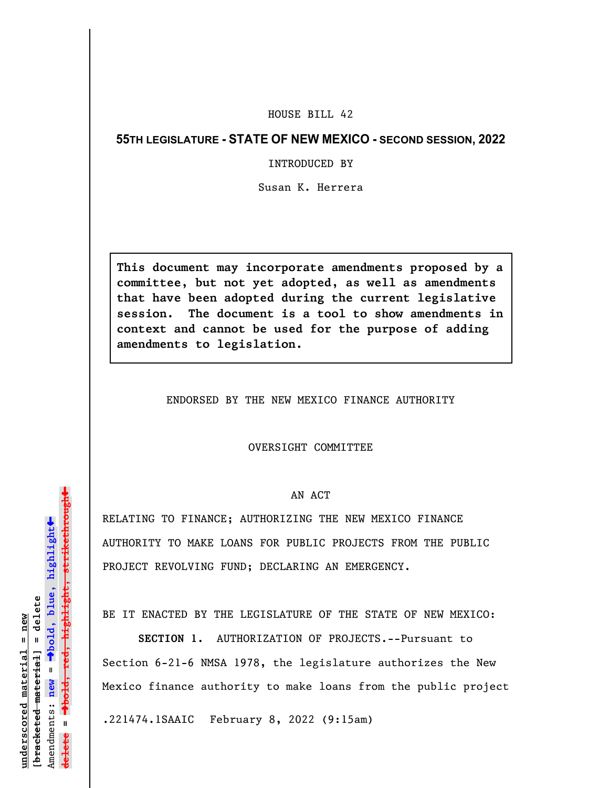## HOUSE BILL 42

# **55TH LEGISLATURE - STATE OF NEW MEXICO - SECOND SESSION, 2022**

# INTRODUCED BY

Susan K. Herrera

**This document may incorporate amendments proposed by a committee, but not yet adopted, as well as amendments that have been adopted during the current legislative session. The document is a tool to show amendments in context and cannot be used for the purpose of adding amendments to legislation.**

ENDORSED BY THE NEW MEXICO FINANCE AUTHORITY

#### OVERSIGHT COMMITTEE

### AN ACT

RELATING TO FINANCE; AUTHORIZING THE NEW MEXICO FINANCE AUTHORITY TO MAKE LOANS FOR PUBLIC PROJECTS FROM THE PUBLIC PROJECT REVOLVING FUND; DECLARING AN EMERGENCY.

BE IT ENACTED BY THE LEGISLATURE OF THE STATE OF NEW MEXICO:

**SECTION 1.** AUTHORIZATION OF PROJECTS.--Pursuant to Section 6-21-6 NMSA 1978, the legislature authorizes the New Mexico finance authority to make loans from the public project

.221474.1SAAIC February 8, 2022 (9:15am)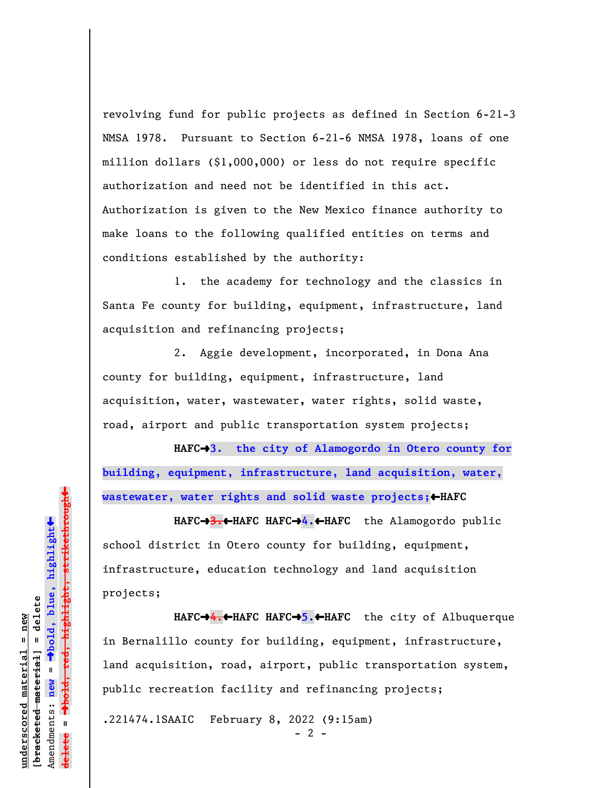revolving fund for public projects as defined in Section 6-21-3 NMSA 1978. Pursuant to Section 6-21-6 NMSA 1978, loans of one million dollars (\$1,000,000) or less do not require specific authorization and need not be identified in this act. Authorization is given to the New Mexico finance authority to make loans to the following qualified entities on terms and conditions established by the authority:

1. the academy for technology and the classics in Santa Fe county for building, equipment, infrastructure, land acquisition and refinancing projects;

2. Aggie development, incorporated, in Dona Ana county for building, equipment, infrastructure, land acquisition, water, wastewater, water rights, solid waste, road, airport and public transportation system projects;

HAFC→3. the city of Alamogordo in Otero county for **building, equipment, infrastructure, land acquisition, water,** wastewater, water rights and solid waste projects; <

**HAFC**º**3.**»**HAFC HAFC**º**4.**»**HAFC** the Alamogordo public school district in Otero county for building, equipment, infrastructure, education technology and land acquisition projects;

**HAFC**º**4.**»**HAFC HAFC**º**5.**»**HAFC** the city of Albuquerque in Bernalillo county for building, equipment, infrastructure, land acquisition, road, airport, public transportation system, public recreation facility and refinancing projects;

.221474.1SAAIC February 8, 2022 (9:15am)

 $- 2 -$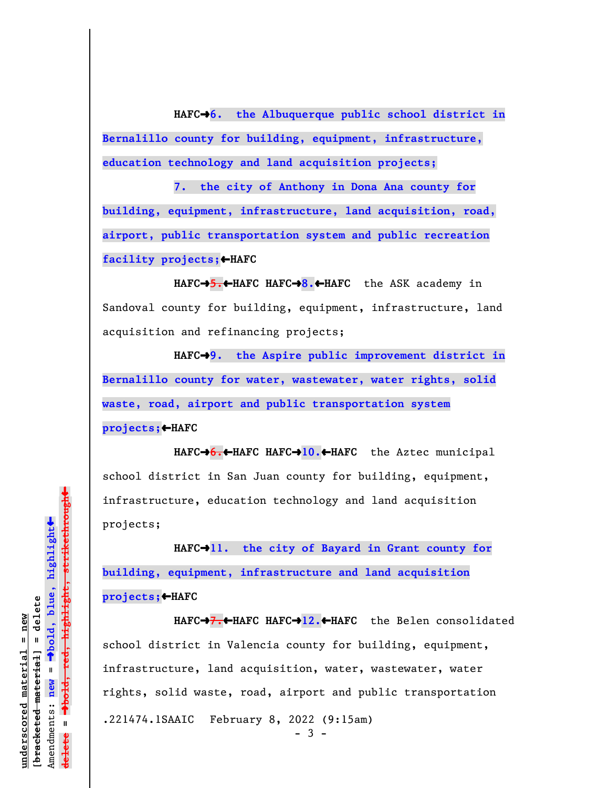HAFC<sup>+</sup>6. the Albuquerque public school district in **Bernalillo county for building, equipment, infrastructure, education technology and land acquisition projects;**

**7. the city of Anthony in Dona Ana county for building, equipment, infrastructure, land acquisition, road, airport, public transportation system and public recreation** facility projects; **+HAFC** 

**HAFC**º**5.**»**HAFC HAFC**º**8.**»**HAFC** the ASK academy in Sandoval county for building, equipment, infrastructure, land acquisition and refinancing projects;

HAFC<sup>+</sup>9. the Aspire public improvement district in **Bernalillo county for water, wastewater, water rights, solid waste, road, airport and public transportation system projects;**»**HAFC**

**HAFC**º**6.**»**HAFC HAFC**º**10.**»**HAFC** the Aztec municipal school district in San Juan county for building, equipment, infrastructure, education technology and land acquisition projects;

HAFC<sup>-11</sup>. the city of Bayard in Grant county for **building, equipment, infrastructure and land acquisition projects;**»**HAFC**

**HAFC**º**7.**»**HAFC HAFC**º**12.**»**HAFC** the Belen consolidated school district in Valencia county for building, equipment, infrastructure, land acquisition, water, wastewater, water rights, solid waste, road, airport and public transportation .221474.1SAAIC February 8, 2022 (9:15am)  $-3 -$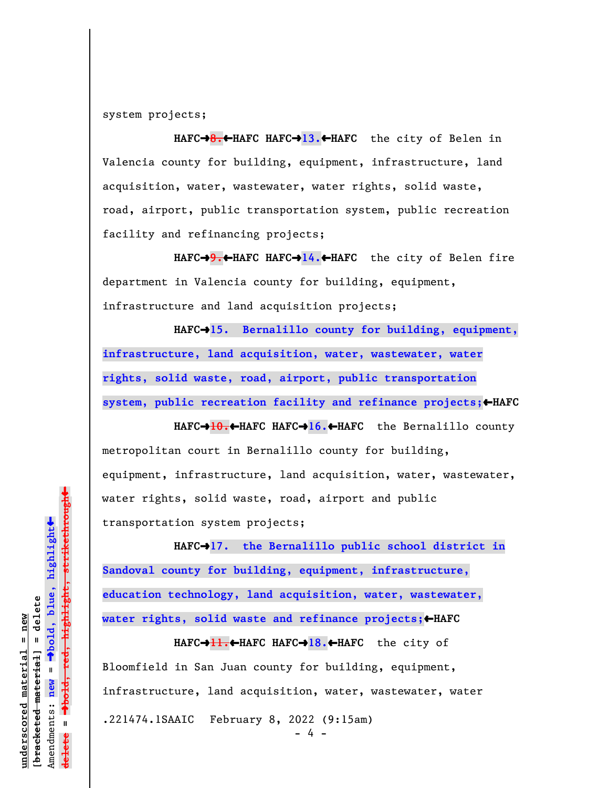system projects;

**HAFC**º**8.**»**HAFC HAFC**º**13.**»**HAFC** the city of Belen in Valencia county for building, equipment, infrastructure, land acquisition, water, wastewater, water rights, solid waste, road, airport, public transportation system, public recreation facility and refinancing projects;

**HAFC**º**9.**»**HAFC HAFC**º**14.**»**HAFC** the city of Belen fire department in Valencia county for building, equipment, infrastructure and land acquisition projects;

HAFC<sup>+</sup>15. Bernalillo county for building, equipment, **infrastructure, land acquisition, water, wastewater, water rights, solid waste, road, airport, public transportation** system, public recreation facility and refinance projects;  $\leftarrow$  HAFC

**HAFC**º**10.**»**HAFC HAFC**º**16.**»**HAFC** the Bernalillo county metropolitan court in Bernalillo county for building, equipment, infrastructure, land acquisition, water, wastewater, water rights, solid waste, road, airport and public transportation system projects;

HAFC<sup>+</sup>17. the Bernalillo public school district in **Sandoval county for building, equipment, infrastructure, education technology, land acquisition, water, wastewater,** water rights, solid waste and refinance projects;<**HAFC** 

**HAFC**º**11.**»**HAFC HAFC**º**18.**»**HAFC** the city of Bloomfield in San Juan county for building, equipment, infrastructure, land acquisition, water, wastewater, water .221474.1SAAIC February 8, 2022 (9:15am)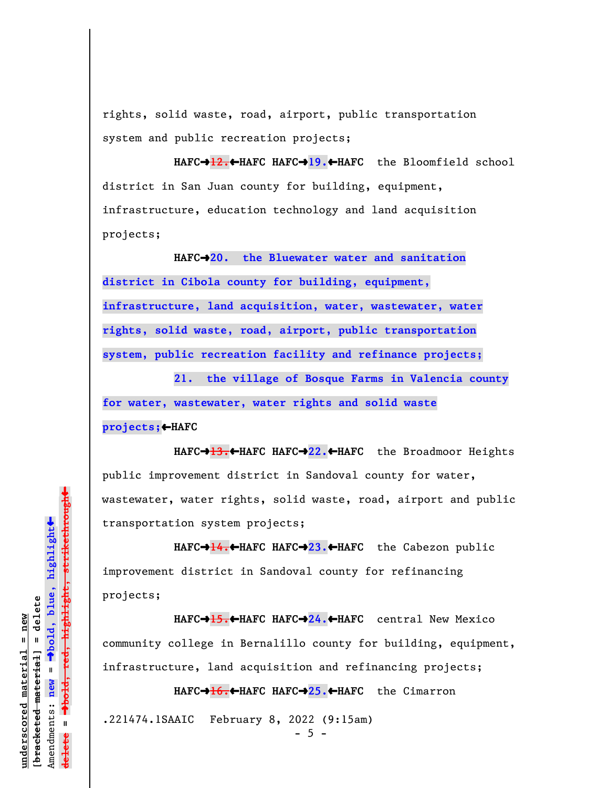rights, solid waste, road, airport, public transportation system and public recreation projects;

**HAFC**º**12.**»**HAFC HAFC**º**19.**»**HAFC** the Bloomfield school district in San Juan county for building, equipment, infrastructure, education technology and land acquisition projects;

**HAFC**º**20. the Bluewater water and sanitation district in Cibola county for building, equipment, infrastructure, land acquisition, water, wastewater, water rights, solid waste, road, airport, public transportation system, public recreation facility and refinance projects;**

**21. the village of Bosque Farms in Valencia county for water, wastewater, water rights and solid waste projects;**»**HAFC**

**HAFC**º**13.**»**HAFC HAFC**º**22.**»**HAFC** the Broadmoor Heights public improvement district in Sandoval county for water, wastewater, water rights, solid waste, road, airport and public transportation system projects;

**HAFC→<del>14.↓</del>HAFC HAFC→23.←HAFC** the Cabezon public improvement district in Sandoval county for refinancing projects;

**HAFC**º**15.**»**HAFC HAFC**º**24.**»**HAFC** central New Mexico community college in Bernalillo county for building, equipment, infrastructure, land acquisition and refinancing projects;

**HAFC**º**16.**»**HAFC HAFC**º**25.**»**HAFC** the Cimarron .221474.1SAAIC February 8, 2022 (9:15am)

 $\ddag$ º**bold, red, highlight, strikethrough**  $\ddot{\bullet}$ º**bold, blue, highlight**  $b$ racketed material] = delete **[bracketed material] = delete** inderscored material = new **underscored material = new** Amendments: new = Amendments: **new** =  $\mathbf{u}$ **delete =** lelete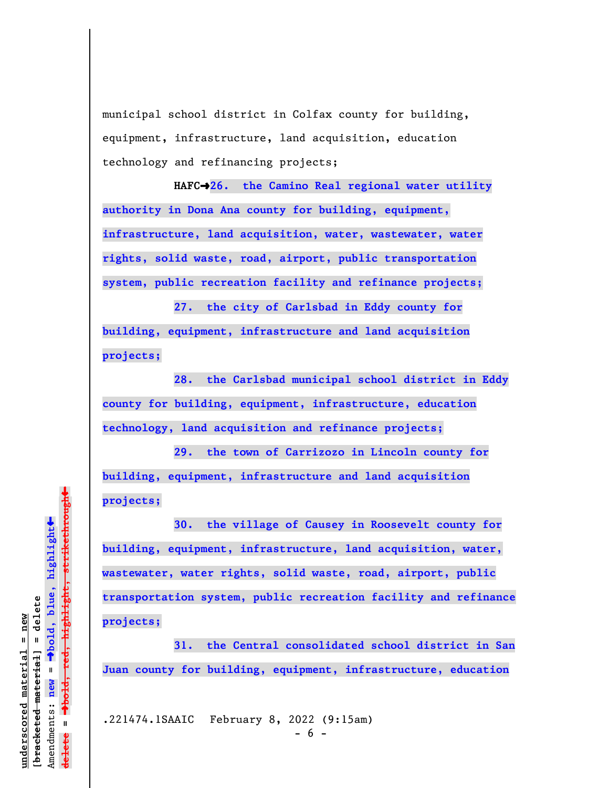municipal school district in Colfax county for building, equipment, infrastructure, land acquisition, education technology and refinancing projects;

**HAFC**º**26. the Camino Real regional water utility authority in Dona Ana county for building, equipment, infrastructure, land acquisition, water, wastewater, water rights, solid waste, road, airport, public transportation system, public recreation facility and refinance projects;**

**27. the city of Carlsbad in Eddy county for building, equipment, infrastructure and land acquisition projects;**

**28. the Carlsbad municipal school district in Eddy county for building, equipment, infrastructure, education technology, land acquisition and refinance projects;**

**29. the town of Carrizozo in Lincoln county for building, equipment, infrastructure and land acquisition projects;**

**30. the village of Causey in Roosevelt county for building, equipment, infrastructure, land acquisition, water, wastewater, water rights, solid waste, road, airport, public transportation system, public recreation facility and refinance projects;**

**31. the Central consolidated school district in San Juan county for building, equipment, infrastructure, education**

.221474.1SAAIC February 8, 2022 (9:15am)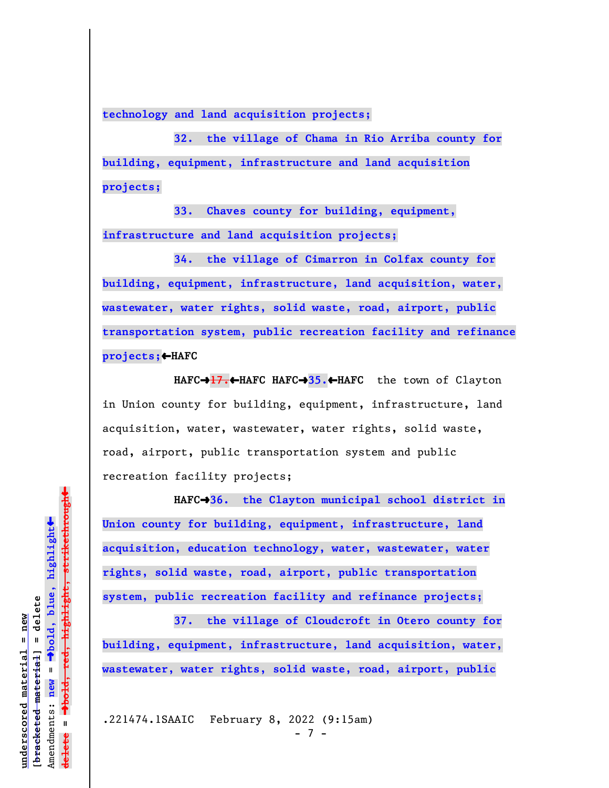**technology and land acquisition projects;**

**32. the village of Chama in Rio Arriba county for building, equipment, infrastructure and land acquisition projects;**

**33. Chaves county for building, equipment, infrastructure and land acquisition projects;**

**34. the village of Cimarron in Colfax county for building, equipment, infrastructure, land acquisition, water, wastewater, water rights, solid waste, road, airport, public transportation system, public recreation facility and refinance projects;**»**HAFC**

**HAFC**º**17.**»**HAFC HAFC**º**35.**»**HAFC** the town of Clayton in Union county for building, equipment, infrastructure, land acquisition, water, wastewater, water rights, solid waste, road, airport, public transportation system and public recreation facility projects;

**HAFC**º**36. the Clayton municipal school district in Union county for building, equipment, infrastructure, land acquisition, education technology, water, wastewater, water rights, solid waste, road, airport, public transportation system, public recreation facility and refinance projects;**

**37. the village of Cloudcroft in Otero county for building, equipment, infrastructure, land acquisition, water, wastewater, water rights, solid waste, road, airport, public**

.221474.1SAAIC February 8, 2022 (9:15am)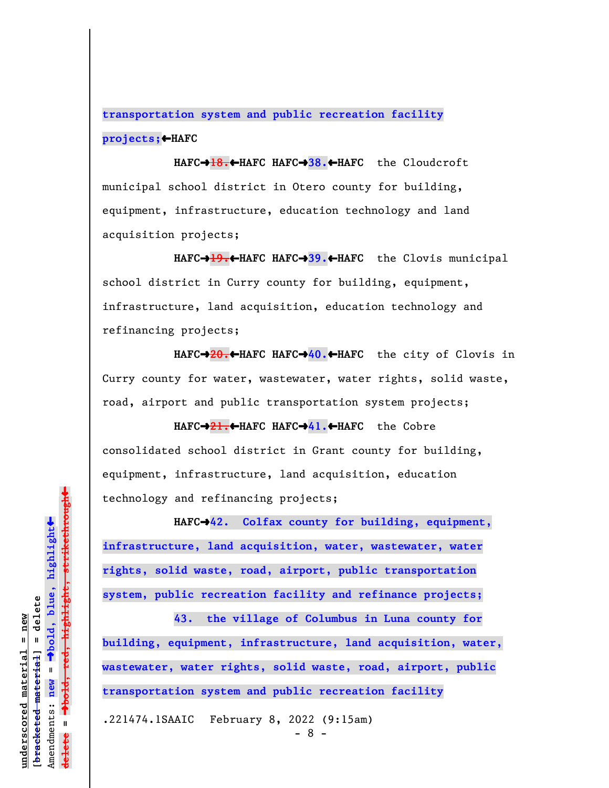**transportation system and public recreation facility projects;**»**HAFC**

**HAFC**º**18.**»**HAFC HAFC**º**38.**»**HAFC** the Cloudcroft municipal school district in Otero county for building, equipment, infrastructure, education technology and land acquisition projects;

**HAFC**º**19.**»**HAFC HAFC**º**39.**»**HAFC** the Clovis municipal school district in Curry county for building, equipment, infrastructure, land acquisition, education technology and refinancing projects;

**HAFC**º**20.**»**HAFC HAFC**º**40.**»**HAFC** the city of Clovis in Curry county for water, wastewater, water rights, solid waste, road, airport and public transportation system projects;

**HAFC**º**21.**»**HAFC HAFC**º**41.**»**HAFC** the Cobre consolidated school district in Grant county for building, equipment, infrastructure, land acquisition, education technology and refinancing projects;

HAFC<sup>-242</sup>. Colfax county for building, equipment, **infrastructure, land acquisition, water, wastewater, water rights, solid waste, road, airport, public transportation system, public recreation facility and refinance projects;**

**43. the village of Columbus in Luna county for building, equipment, infrastructure, land acquisition, water, wastewater, water rights, solid waste, road, airport, public transportation system and public recreation facility**

.221474.1SAAIC February 8, 2022 (9:15am)

 $\ddag$ º**bold, red, highlight, strikethrough**  $\ddot{\bullet}$ º**bold, blue, highlight**  $b$ racketed material] = delete **[bracketed material] = delete** inderscored material = new **underscored material = new** Amendments: new = Amendments: **new** =  $\mathbf{I}$ **delete =** lelete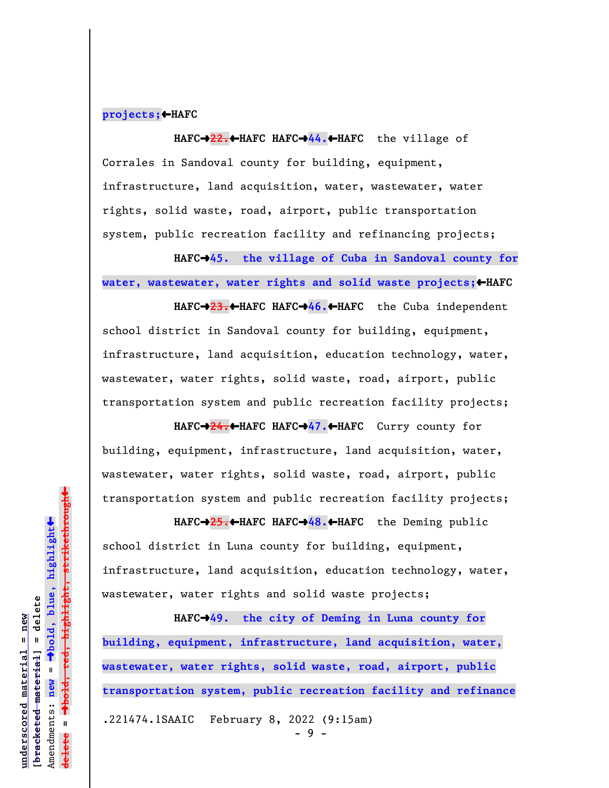# **projects;**»**HAFC**

**HAFC**º**22.**»**HAFC HAFC**º**44.**»**HAFC** the village of Corrales in Sandoval county for building, equipment, infrastructure, land acquisition, water, wastewater, water rights, solid waste, road, airport, public transportation system, public recreation facility and refinancing projects;

HAFC→45. the village of Cuba in Sandoval county for water, wastewater, water rights and solid waste projects; <**HAFC** 

**HAFC**º**23.**»**HAFC HAFC**º**46.**»**HAFC** the Cuba independent school district in Sandoval county for building, equipment, infrastructure, land acquisition, education technology, water, wastewater, water rights, solid waste, road, airport, public transportation system and public recreation facility projects;

**HAFC**º**24.**»**HAFC HAFC**º**47.**»**HAFC** Curry county for building, equipment, infrastructure, land acquisition, water, wastewater, water rights, solid waste, road, airport, public transportation system and public recreation facility projects;

**HAFC**º**25.**»**HAFC HAFC**º**48.**»**HAFC** the Deming public school district in Luna county for building, equipment, infrastructure, land acquisition, education technology, water, wastewater, water rights and solid waste projects;

**HAFC**º**49. the city of Deming in Luna county for building, equipment, infrastructure, land acquisition, water, wastewater, water rights, solid waste, road, airport, public transportation system, public recreation facility and refinance** .221474.1SAAIC February 8, 2022 (9:15am)

- 9 -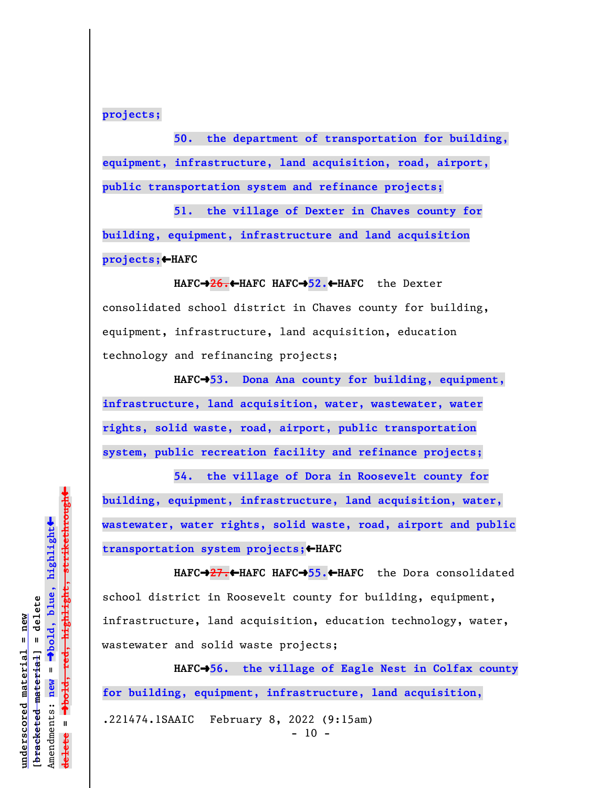**projects;**

**50. the department of transportation for building, equipment, infrastructure, land acquisition, road, airport, public transportation system and refinance projects;**

**51. the village of Dexter in Chaves county for building, equipment, infrastructure and land acquisition projects;**»**HAFC**

**HAFC**º**26.**»**HAFC HAFC**º**52.**»**HAFC** the Dexter consolidated school district in Chaves county for building, equipment, infrastructure, land acquisition, education technology and refinancing projects;

HAFC<sup>+</sup>53. Dona Ana county for building, equipment, **infrastructure, land acquisition, water, wastewater, water rights, solid waste, road, airport, public transportation system, public recreation facility and refinance projects;**

**54. the village of Dora in Roosevelt county for building, equipment, infrastructure, land acquisition, water, wastewater, water rights, solid waste, road, airport and public transportation system projects;**»**HAFC**

**HAFC**º**27.**»**HAFC HAFC**º**55.**»**HAFC** the Dora consolidated school district in Roosevelt county for building, equipment, infrastructure, land acquisition, education technology, water, wastewater and solid waste projects;

HAFC<sup>-+</sup>56. the village of Eagle Nest in Colfax county **for building, equipment, infrastructure, land acquisition,** .221474.1SAAIC February 8, 2022 (9:15am)  $-10 -$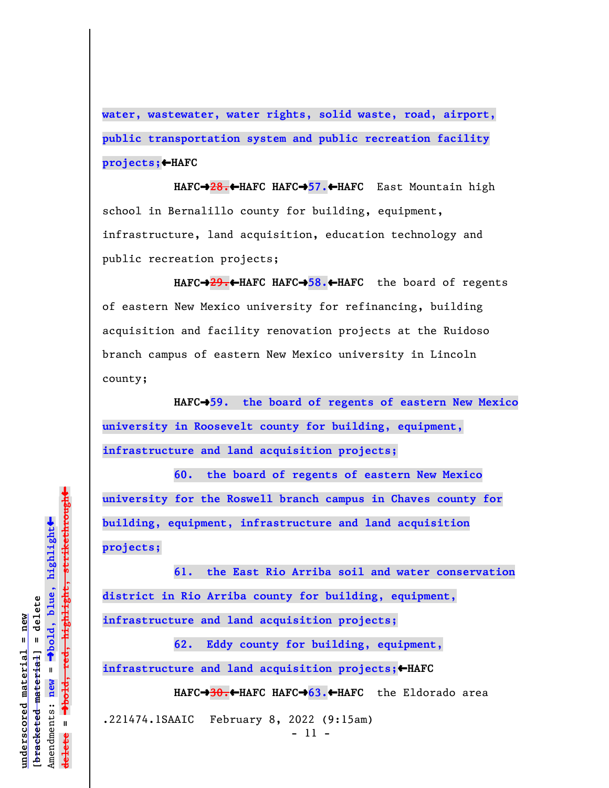**water, wastewater, water rights, solid waste, road, airport, public transportation system and public recreation facility projects;**»**HAFC**

**HAFC**º**28.**»**HAFC HAFC**º**57.**»**HAFC** East Mountain high school in Bernalillo county for building, equipment, infrastructure, land acquisition, education technology and public recreation projects;

**HAFC**º**29.**»**HAFC HAFC**º**58.**»**HAFC** the board of regents of eastern New Mexico university for refinancing, building acquisition and facility renovation projects at the Ruidoso branch campus of eastern New Mexico university in Lincoln county;

HAFC<sup>+</sup>>59. the board of regents of eastern New Mexico **university in Roosevelt county for building, equipment, infrastructure and land acquisition projects;**

**60. the board of regents of eastern New Mexico university for the Roswell branch campus in Chaves county for building, equipment, infrastructure and land acquisition projects;**

**61. the East Rio Arriba soil and water conservation district in Rio Arriba county for building, equipment, infrastructure and land acquisition projects;**

**62. Eddy county for building, equipment,** infrastructure and land acquisition projects;←HAFC

**HAFC**º**30.**»**HAFC HAFC**º**63.**»**HAFC** the Eldorado area

.221474.1SAAIC February 8, 2022 (9:15am) - 11 -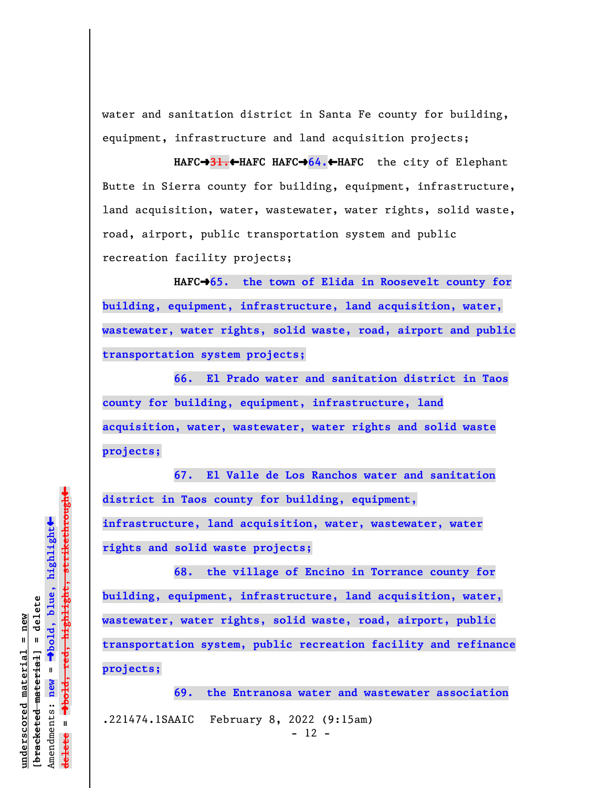water and sanitation district in Santa Fe county for building, equipment, infrastructure and land acquisition projects;

**HAFC**º**31.**»**HAFC HAFC**º**64.**»**HAFC** the city of Elephant Butte in Sierra county for building, equipment, infrastructure, land acquisition, water, wastewater, water rights, solid waste, road, airport, public transportation system and public recreation facility projects;

HAFC→65. the town of Elida in Roosevelt county for **building, equipment, infrastructure, land acquisition, water, wastewater, water rights, solid waste, road, airport and public transportation system projects;**

**66. El Prado water and sanitation district in Taos county for building, equipment, infrastructure, land acquisition, water, wastewater, water rights and solid waste projects;**

**67. El Valle de Los Ranchos water and sanitation district in Taos county for building, equipment, infrastructure, land acquisition, water, wastewater, water rights and solid waste projects;**

**68. the village of Encino in Torrance county for building, equipment, infrastructure, land acquisition, water, wastewater, water rights, solid waste, road, airport, public transportation system, public recreation facility and refinance projects;**

**69. the Entranosa water and wastewater association** .221474.1SAAIC February 8, 2022 (9:15am)  $- 12 -$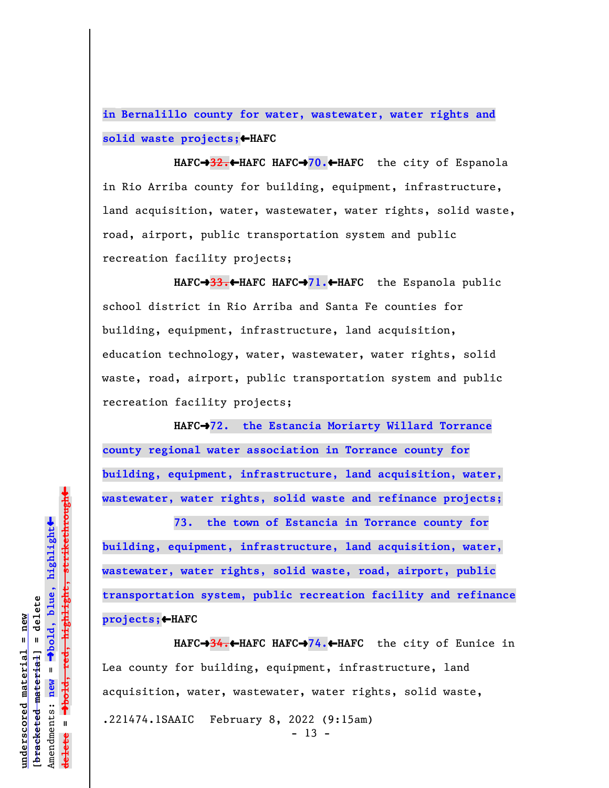**in Bernalillo county for water, wastewater, water rights and solid waste projects;**»**HAFC**

**HAFC**º**32.**»**HAFC HAFC**º**70.**»**HAFC** the city of Espanola in Rio Arriba county for building, equipment, infrastructure, land acquisition, water, wastewater, water rights, solid waste, road, airport, public transportation system and public recreation facility projects;

**HAFC**º**33.**»**HAFC HAFC**º**71.**»**HAFC** the Espanola public school district in Rio Arriba and Santa Fe counties for building, equipment, infrastructure, land acquisition, education technology, water, wastewater, water rights, solid waste, road, airport, public transportation system and public recreation facility projects;

**HAFC**º**72. the Estancia Moriarty Willard Torrance county regional water association in Torrance county for building, equipment, infrastructure, land acquisition, water, wastewater, water rights, solid waste and refinance projects;**

**73. the town of Estancia in Torrance county for building, equipment, infrastructure, land acquisition, water, wastewater, water rights, solid waste, road, airport, public transportation system, public recreation facility and refinance projects;**»**HAFC**

**HAFC**º**34.**»**HAFC HAFC**º**74.**»**HAFC** the city of Eunice in Lea county for building, equipment, infrastructure, land acquisition, water, wastewater, water rights, solid waste, .221474.1SAAIC February 8, 2022 (9:15am)  $- 13 -$ 

º**bold, red, highlight, strikethrough** º**bold, blue, highlight**  $b$ racketed material] = delete **[bracketed material] = delete** Amendments: **new** = Amendments: new =  $\mathbf{I}$ **delete =** lelete

 $\ddot{\bullet}$ 

 $\ddag$ 

**underscored material = new**

inderscored material = new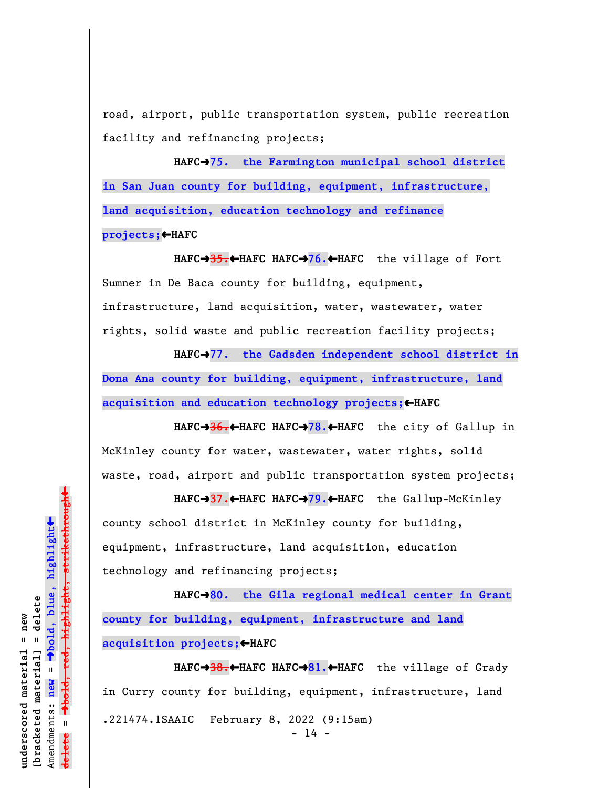road, airport, public transportation system, public recreation facility and refinancing projects;

HAFC<sup>+</sup>75. the Farmington municipal school district **in San Juan county for building, equipment, infrastructure, land acquisition, education technology and refinance projects;**»**HAFC**

**HAFC**º**35.**»**HAFC HAFC**º**76.**»**HAFC** the village of Fort Sumner in De Baca county for building, equipment, infrastructure, land acquisition, water, wastewater, water rights, solid waste and public recreation facility projects;

HAFC<sup>+</sup>77. the Gadsden independent school district in **Dona Ana county for building, equipment, infrastructure, land acquisition and education technology projects;**»**HAFC**

**HAFC**º**36.**»**HAFC HAFC**º**78.**»**HAFC** the city of Gallup in McKinley county for water, wastewater, water rights, solid waste, road, airport and public transportation system projects;

**HAFC**º**37.**»**HAFC HAFC**º**79.**»**HAFC** the Gallup-McKinley county school district in McKinley county for building, equipment, infrastructure, land acquisition, education technology and refinancing projects;

HAFC<sup>+</sup>80. the Gila regional medical center in Grant **county for building, equipment, infrastructure and land acquisition projects;**»**HAFC**

**HAFC**º**38.**»**HAFC HAFC**º**81.**»**HAFC** the village of Grady in Curry county for building, equipment, infrastructure, land .221474.1SAAIC February 8, 2022 (9:15am)  $- 14 -$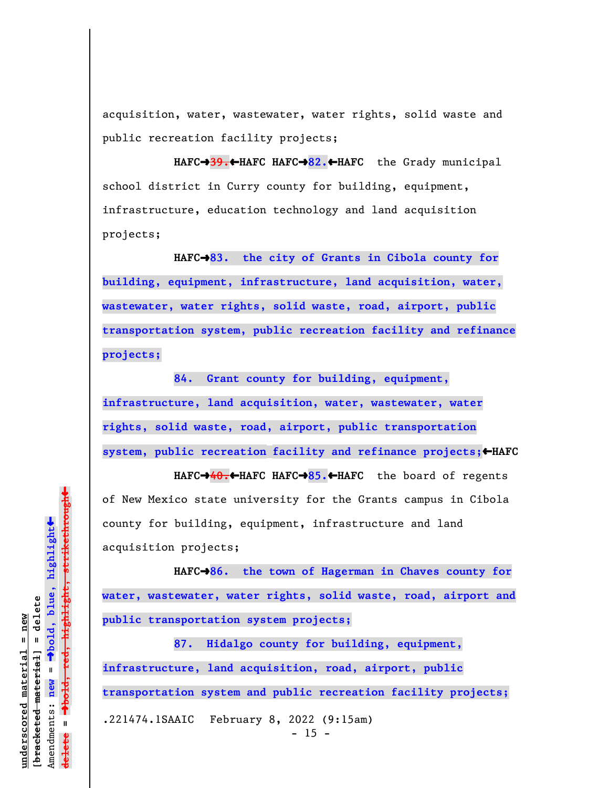acquisition, water, wastewater, water rights, solid waste and public recreation facility projects;

**HAFC**º**39.**»**HAFC HAFC**º**82.**»**HAFC** the Grady municipal school district in Curry county for building, equipment, infrastructure, education technology and land acquisition projects;

**HAFC**º**83. the city of Grants in Cibola county for building, equipment, infrastructure, land acquisition, water, wastewater, water rights, solid waste, road, airport, public transportation system, public recreation facility and refinance projects;**

**84. Grant county for building, equipment, infrastructure, land acquisition, water, wastewater, water rights, solid waste, road, airport, public transportation system, public recreation facility and refinance projects;**»**HAFC**

**HAFC**º**40.**»**HAFC HAFC**º**85.**»**HAFC** the board of regents of New Mexico state university for the Grants campus in Cibola county for building, equipment, infrastructure and land acquisition projects;

**HAFC**º**86. the town of Hagerman in Chaves county for water, wastewater, water rights, solid waste, road, airport and public transportation system projects;**

**87. Hidalgo county for building, equipment, infrastructure, land acquisition, road, airport, public transportation system and public recreation facility projects;** .221474.1SAAIC February 8, 2022 (9:15am)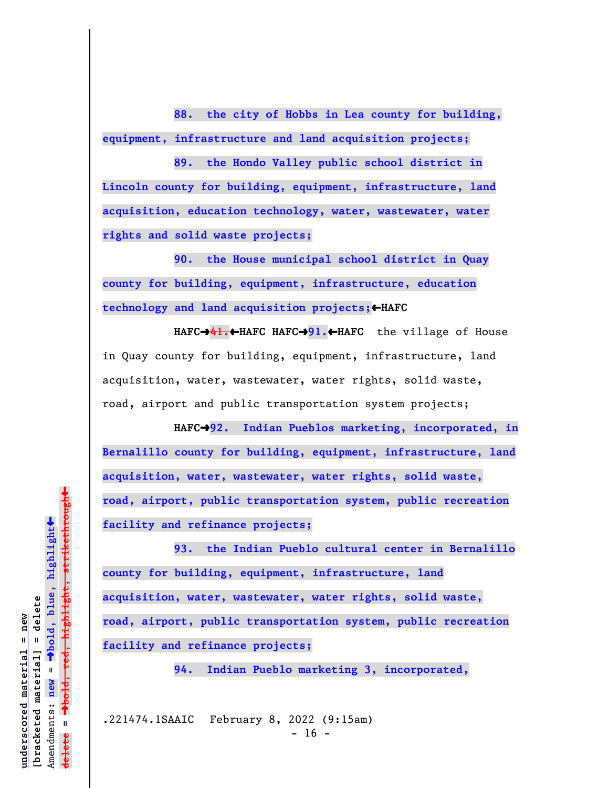**88. the city of Hobbs in Lea county for building, equipment, infrastructure and land acquisition projects;**

**89. the Hondo Valley public school district in Lincoln county for building, equipment, infrastructure, land acquisition, education technology, water, wastewater, water rights and solid waste projects;**

**90. the House municipal school district in Quay county for building, equipment, infrastructure, education technology and land acquisition projects;**»**HAFC**

**HAFC**º**41.**»**HAFC HAFC**º**91.**»**HAFC** the village of House in Quay county for building, equipment, infrastructure, land acquisition, water, wastewater, water rights, solid waste, road, airport and public transportation system projects;

HAFC<sup>+</sup>92. Indian Pueblos marketing, incorporated, in **Bernalillo county for building, equipment, infrastructure, land acquisition, water, wastewater, water rights, solid waste, road, airport, public transportation system, public recreation facility and refinance projects;**

**93. the Indian Pueblo cultural center in Bernalillo county for building, equipment, infrastructure, land acquisition, water, wastewater, water rights, solid waste, road, airport, public transportation system, public recreation facility and refinance projects;**

**94. Indian Pueblo marketing 3, incorporated,**

.221474.1SAAIC February 8, 2022 (9:15am)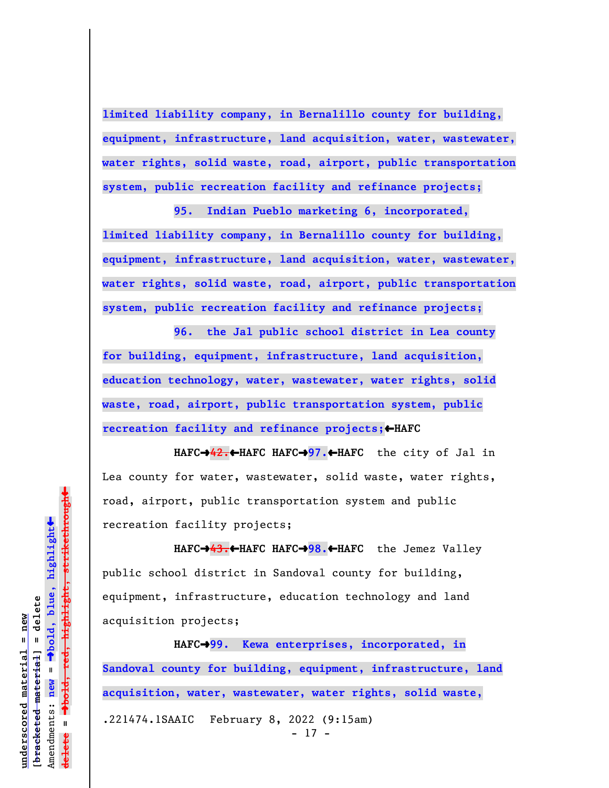**limited liability company, in Bernalillo county for building, equipment, infrastructure, land acquisition, water, wastewater, water rights, solid waste, road, airport, public transportation system, public recreation facility and refinance projects;**

**95. Indian Pueblo marketing 6, incorporated, limited liability company, in Bernalillo county for building, equipment, infrastructure, land acquisition, water, wastewater, water rights, solid waste, road, airport, public transportation system, public recreation facility and refinance projects;**

**96. the Jal public school district in Lea county for building, equipment, infrastructure, land acquisition, education technology, water, wastewater, water rights, solid waste, road, airport, public transportation system, public recreation facility and refinance projects;**»**HAFC**

**HAFC**º**42.**»**HAFC HAFC**º**97.**»**HAFC** the city of Jal in Lea county for water, wastewater, solid waste, water rights, road, airport, public transportation system and public recreation facility projects;

**HAFC**º**43.**»**HAFC HAFC**º**98.**»**HAFC** the Jemez Valley public school district in Sandoval county for building, equipment, infrastructure, education technology and land acquisition projects;

**HAFC**º**99. Kewa enterprises, incorporated, in Sandoval county for building, equipment, infrastructure, land acquisition, water, wastewater, water rights, solid waste,** .221474.1SAAIC February 8, 2022 (9:15am) - 17 -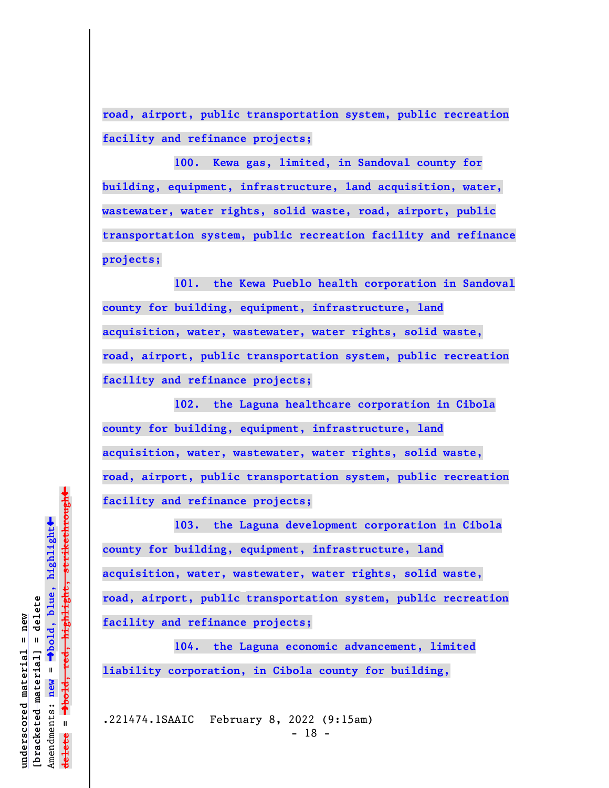**road, airport, public transportation system, public recreation facility and refinance projects;**

**100. Kewa gas, limited, in Sandoval county for building, equipment, infrastructure, land acquisition, water, wastewater, water rights, solid waste, road, airport, public transportation system, public recreation facility and refinance projects;**

**101. the Kewa Pueblo health corporation in Sandoval county for building, equipment, infrastructure, land acquisition, water, wastewater, water rights, solid waste, road, airport, public transportation system, public recreation facility and refinance projects;**

**102. the Laguna healthcare corporation in Cibola county for building, equipment, infrastructure, land acquisition, water, wastewater, water rights, solid waste, road, airport, public transportation system, public recreation facility and refinance projects;**

**103. the Laguna development corporation in Cibola county for building, equipment, infrastructure, land acquisition, water, wastewater, water rights, solid waste, road, airport, public transportation system, public recreation facility and refinance projects;**

**104. the Laguna economic advancement, limited liability corporation, in Cibola county for building,**

.221474.1SAAIC February 8, 2022 (9:15am) - 18 -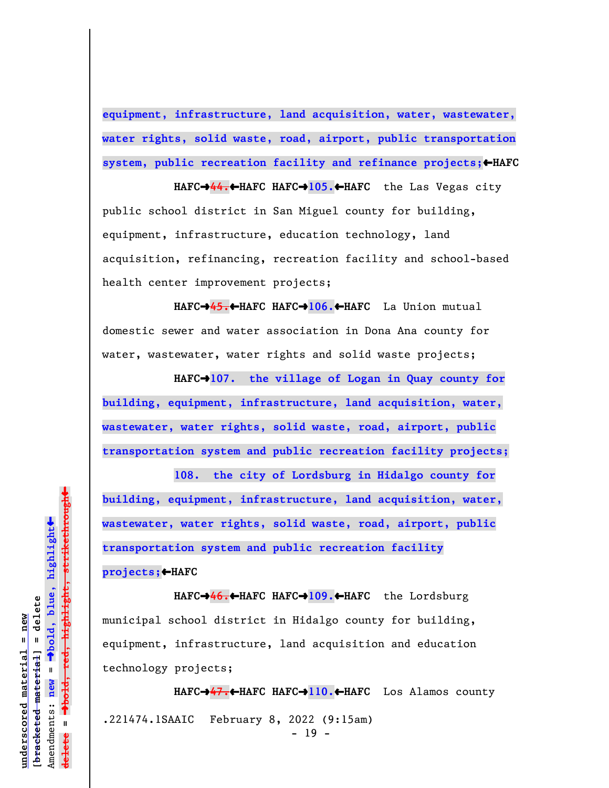**equipment, infrastructure, land acquisition, water, wastewater, water rights, solid waste, road, airport, public transportation** system, public recreation facility and refinance projects;  $\leftarrow$  HAFC

**HAFC**º**44.**»**HAFC HAFC**º**105.**»**HAFC** the Las Vegas city public school district in San Miguel county for building, equipment, infrastructure, education technology, land acquisition, refinancing, recreation facility and school-based health center improvement projects;

**HAFC**º**45.**»**HAFC HAFC**º**106.**»**HAFC** La Union mutual domestic sewer and water association in Dona Ana county for water, wastewater, water rights and solid waste projects;

HAFC<sup>+</sup>107. the village of Logan in Quay county for **building, equipment, infrastructure, land acquisition, water, wastewater, water rights, solid waste, road, airport, public transportation system and public recreation facility projects;**

**108. the city of Lordsburg in Hidalgo county for building, equipment, infrastructure, land acquisition, water, wastewater, water rights, solid waste, road, airport, public transportation system and public recreation facility projects;**»**HAFC**

**HAFC**º**46.**»**HAFC HAFC**º**109.**»**HAFC** the Lordsburg municipal school district in Hidalgo county for building, equipment, infrastructure, land acquisition and education technology projects;

**HAFC**º**47.**»**HAFC HAFC**º**110.**»**HAFC** Los Alamos county .221474.1SAAIC February 8, 2022 (9:15am) - 19 -

 $\ddag$ º**bold, red, highlight, strikethrough**  $\ddot{\bullet}$ º**bold, blue, highlight**  $b$ racketed material] = delete **[bracketed material] = delete** inderscored material = new **underscored material = new** Amendments: new = Amendments: **new** =  $\mathbf{I}$ **delete =** lelete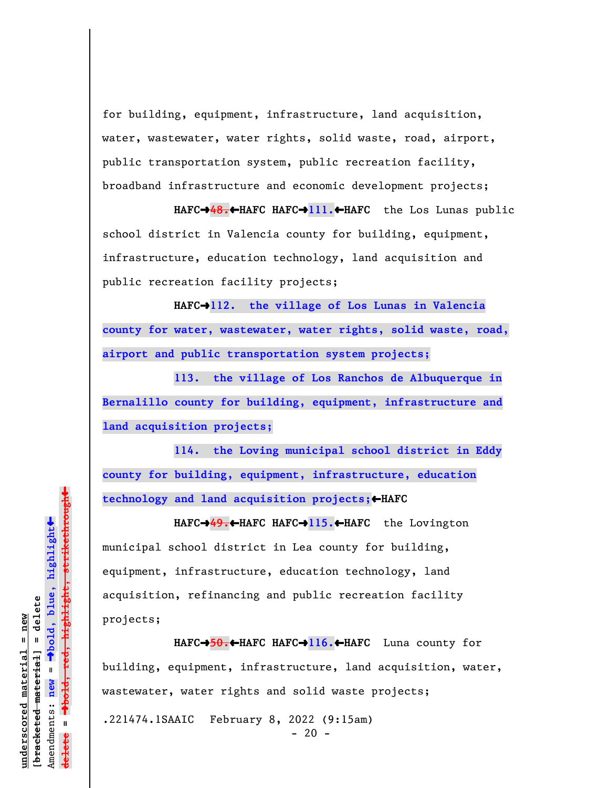for building, equipment, infrastructure, land acquisition, water, wastewater, water rights, solid waste, road, airport, public transportation system, public recreation facility, broadband infrastructure and economic development projects;

**HAFC**º**48.**»**HAFC HAFC**º**111.**»**HAFC** the Los Lunas public school district in Valencia county for building, equipment, infrastructure, education technology, land acquisition and public recreation facility projects;

**HAFC**º**112. the village of Los Lunas in Valencia county for water, wastewater, water rights, solid waste, road, airport and public transportation system projects;**

**113. the village of Los Ranchos de Albuquerque in Bernalillo county for building, equipment, infrastructure and land acquisition projects;**

**114. the Loving municipal school district in Eddy county for building, equipment, infrastructure, education technology and land acquisition projects;**»**HAFC**

**HAFC**º**49.**»**HAFC HAFC**º**115.**»**HAFC** the Lovington municipal school district in Lea county for building, equipment, infrastructure, education technology, land acquisition, refinancing and public recreation facility projects;

**HAFC**º**50.**»**HAFC HAFC**º**116.**»**HAFC** Luna county for building, equipment, infrastructure, land acquisition, water, wastewater, water rights and solid waste projects; .221474.1SAAIC February 8, 2022 (9:15am)  $- 20 -$ 

 $\ddot{\bullet}$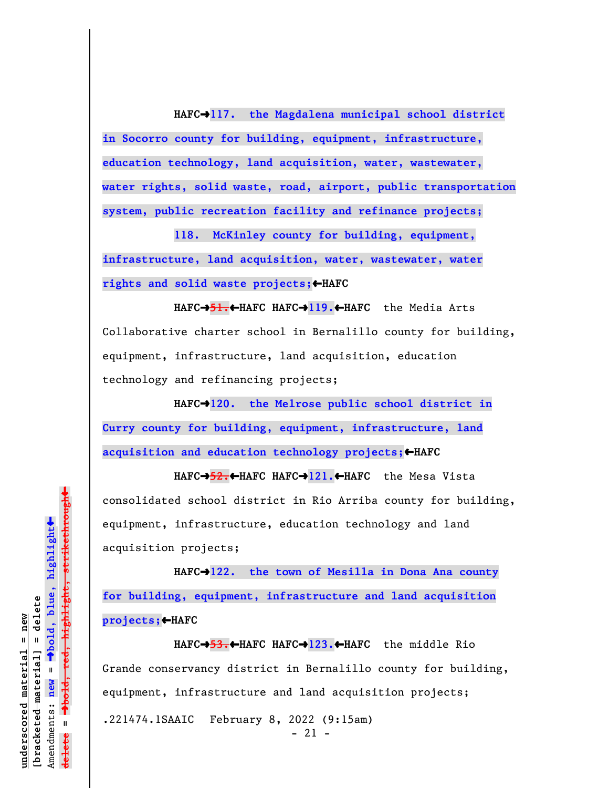**HAFC**º**117. the Magdalena municipal school district in Socorro county for building, equipment, infrastructure, education technology, land acquisition, water, wastewater, water rights, solid waste, road, airport, public transportation system, public recreation facility and refinance projects;**

**118. McKinley county for building, equipment, infrastructure, land acquisition, water, wastewater, water** rights and solid waste projects; **+HAFC** 

**HAFC**º**51.**»**HAFC HAFC**º**119.**»**HAFC** the Media Arts Collaborative charter school in Bernalillo county for building, equipment, infrastructure, land acquisition, education technology and refinancing projects;

HAFC $\rightarrow$ 120. the Melrose public school district in **Curry county for building, equipment, infrastructure, land acquisition and education technology projects;**»**HAFC**

**HAFC**º**52.**»**HAFC HAFC**º**121.**»**HAFC** the Mesa Vista consolidated school district in Rio Arriba county for building, equipment, infrastructure, education technology and land acquisition projects;

**HAFC**º**122. the town of Mesilla in Dona Ana county for building, equipment, infrastructure and land acquisition projects;**»**HAFC**

**HAFC**º**53.**»**HAFC HAFC**º**123.**»**HAFC** the middle Rio Grande conservancy district in Bernalillo county for building, equipment, infrastructure and land acquisition projects; .221474.1SAAIC February 8, 2022 (9:15am) - 21 -

 $\ddag$ º**bold, red, highlight, strikethrough**  $\ddot{\bullet}$ º**bold, blue, highlight**  $b$ racketed material] = delete **[bracketed material] = delete** inderscored material = new **underscored material = new** Amendments: new = Amendments: **new** =  $\mathbf{I}$ **delete =** lelete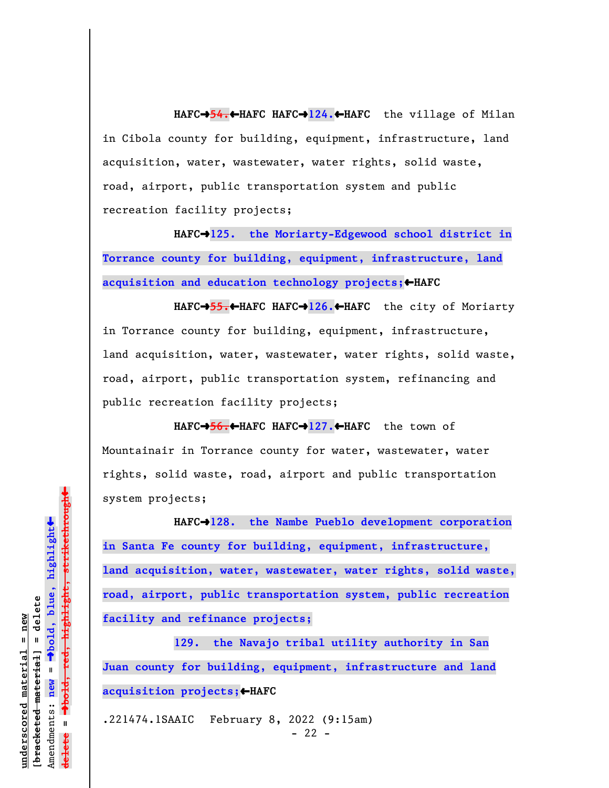**HAFC**º**54.**»**HAFC HAFC**º**124.**»**HAFC** the village of Milan in Cibola county for building, equipment, infrastructure, land acquisition, water, wastewater, water rights, solid waste, road, airport, public transportation system and public recreation facility projects;

HAFC<sup>+</sup>125. the Moriarty-Edgewood school district in **Torrance county for building, equipment, infrastructure, land acquisition and education technology projects;**»**HAFC**

**HAFC**º**55.**»**HAFC HAFC**º**126.**»**HAFC** the city of Moriarty in Torrance county for building, equipment, infrastructure, land acquisition, water, wastewater, water rights, solid waste, road, airport, public transportation system, refinancing and public recreation facility projects;

**HAFC**º**56.**»**HAFC HAFC**º**127.**»**HAFC** the town of Mountainair in Torrance county for water, wastewater, water rights, solid waste, road, airport and public transportation system projects;

HAFC<sup>+</sup>128. the Nambe Pueblo development corporation **in Santa Fe county for building, equipment, infrastructure, land acquisition, water, wastewater, water rights, solid waste, road, airport, public transportation system, public recreation facility and refinance projects;**

**129. the Navajo tribal utility authority in San Juan county for building, equipment, infrastructure and land acquisition projects;**»**HAFC**

.221474.1SAAIC February 8, 2022 (9:15am)  $- 22 -$ 

 $\ddag$ º**bold, red, highlight, strikethrough**  $\ddot{\bullet}$ º**bold, blue, highlight** bracketed material] = delete **[bracketed material] = delete** inderscored material = new **underscored material = new** Amendments: new = Amendments: **new** =  $\mathbf{I}$ **delete =** lelete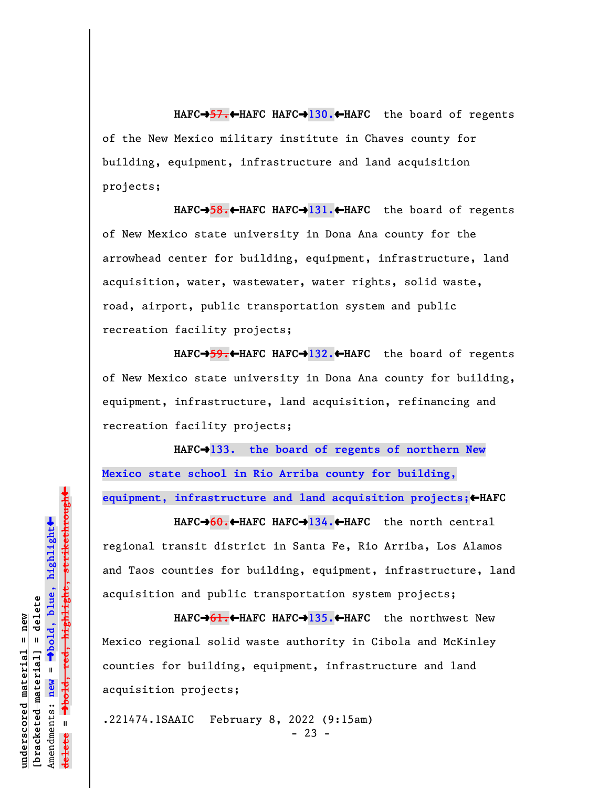**HAFC**º**57.**»**HAFC HAFC**º**130.**»**HAFC** the board of regents of the New Mexico military institute in Chaves county for building, equipment, infrastructure and land acquisition projects;

**HAFC**º**58.**»**HAFC HAFC**º**131.**»**HAFC** the board of regents of New Mexico state university in Dona Ana county for the arrowhead center for building, equipment, infrastructure, land acquisition, water, wastewater, water rights, solid waste, road, airport, public transportation system and public recreation facility projects;

**HAFC**º**59.**»**HAFC HAFC**º**132.**»**HAFC** the board of regents of New Mexico state university in Dona Ana county for building, equipment, infrastructure, land acquisition, refinancing and recreation facility projects;

**HAFC**º**133. the board of regents of northern New Mexico state school in Rio Arriba county for building, equipment, infrastructure and land acquisition projects;**»**HAFC**

**HAFC**º**60.**»**HAFC HAFC**º**134.**»**HAFC** the north central regional transit district in Santa Fe, Rio Arriba, Los Alamos and Taos counties for building, equipment, infrastructure, land acquisition and public transportation system projects;

**HAFC**º**61.**»**HAFC HAFC**º**135.**»**HAFC** the northwest New Mexico regional solid waste authority in Cibola and McKinley counties for building, equipment, infrastructure and land acquisition projects;

.221474.1SAAIC February 8, 2022 (9:15am)  $- 23 -$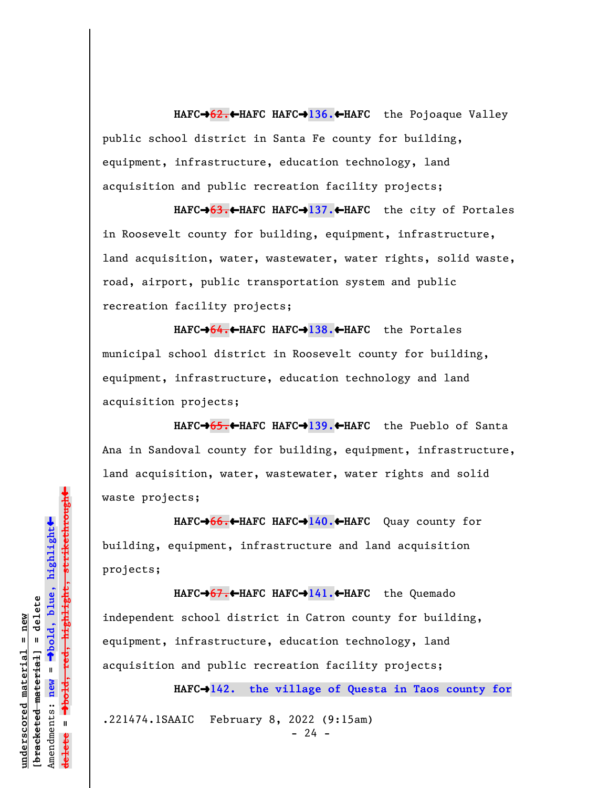**HAFC**º**62.**»**HAFC HAFC**º**136.**»**HAFC** the Pojoaque Valley public school district in Santa Fe county for building, equipment, infrastructure, education technology, land acquisition and public recreation facility projects;

**HAFC**º**63.**»**HAFC HAFC**º**137.**»**HAFC** the city of Portales in Roosevelt county for building, equipment, infrastructure, land acquisition, water, wastewater, water rights, solid waste, road, airport, public transportation system and public recreation facility projects;

**HAFC**º**64.**»**HAFC HAFC**º**138.**»**HAFC** the Portales municipal school district in Roosevelt county for building, equipment, infrastructure, education technology and land acquisition projects;

**HAFC**º**65.**»**HAFC HAFC**º**139.**»**HAFC** the Pueblo of Santa Ana in Sandoval county for building, equipment, infrastructure, land acquisition, water, wastewater, water rights and solid waste projects;

**HAFC**º**66.**»**HAFC HAFC**º**140.**»**HAFC** Quay county for building, equipment, infrastructure and land acquisition projects;

**HAFC**º**67.**»**HAFC HAFC**º**141.**»**HAFC** the Quemado independent school district in Catron county for building, equipment, infrastructure, education technology, land acquisition and public recreation facility projects;

**HAFC**º**142. the village of Questa in Taos county for**

.221474.1SAAIC February 8, 2022 (9:15am)  $- 24 -$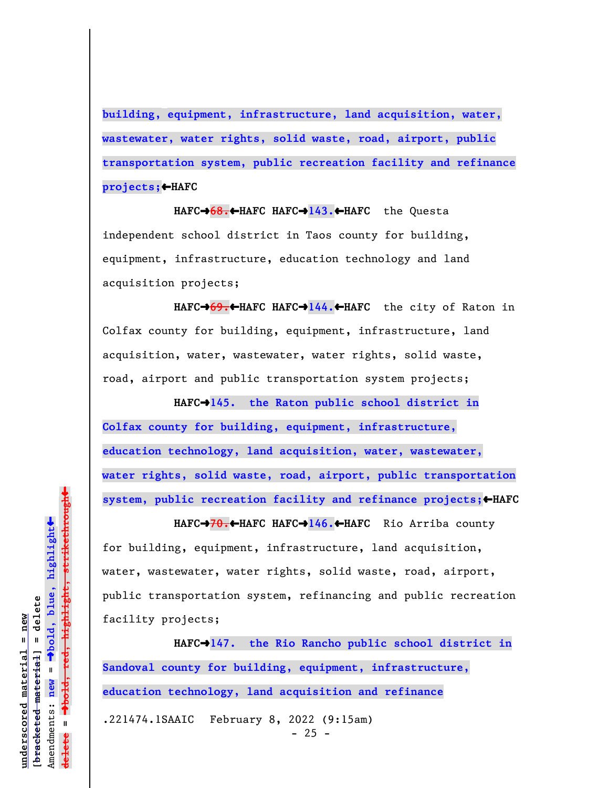**building, equipment, infrastructure, land acquisition, water, wastewater, water rights, solid waste, road, airport, public transportation system, public recreation facility and refinance projects;**»**HAFC**

**HAFC**º**68.**»**HAFC HAFC**º**143.**»**HAFC** the Questa independent school district in Taos county for building, equipment, infrastructure, education technology and land acquisition projects;

**HAFC**º**69.**»**HAFC HAFC**º**144.**»**HAFC** the city of Raton in Colfax county for building, equipment, infrastructure, land acquisition, water, wastewater, water rights, solid waste, road, airport and public transportation system projects;

**HAFC**º**145. the Raton public school district in Colfax county for building, equipment, infrastructure, education technology, land acquisition, water, wastewater, water rights, solid waste, road, airport, public transportation** system, public recreation facility and refinance projects; <AHAFC

**HAFC**º**70.**»**HAFC HAFC**º**146.**»**HAFC** Rio Arriba county for building, equipment, infrastructure, land acquisition, water, wastewater, water rights, solid waste, road, airport, public transportation system, refinancing and public recreation facility projects;

**HAFC**º**147. the Rio Rancho public school district in Sandoval county for building, equipment, infrastructure, education technology, land acquisition and refinance** .221474.1SAAIC February 8, 2022 (9:15am)  $- 25 -$ 

 $\ddot{\bullet}$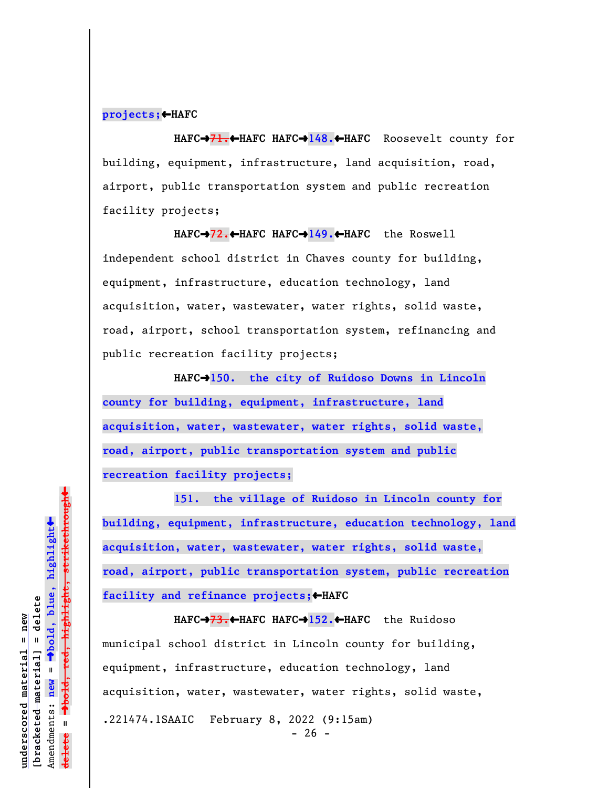## **projects;**»**HAFC**

**HAFC**º**71.**»**HAFC HAFC**º**148.**»**HAFC** Roosevelt county for building, equipment, infrastructure, land acquisition, road, airport, public transportation system and public recreation facility projects;

**HAFC**º**72.**»**HAFC HAFC**º**149.**»**HAFC** the Roswell independent school district in Chaves county for building, equipment, infrastructure, education technology, land acquisition, water, wastewater, water rights, solid waste, road, airport, school transportation system, refinancing and public recreation facility projects;

**HAFC**º**150. the city of Ruidoso Downs in Lincoln county for building, equipment, infrastructure, land acquisition, water, wastewater, water rights, solid waste, road, airport, public transportation system and public recreation facility projects;**

**151. the village of Ruidoso in Lincoln county for building, equipment, infrastructure, education technology, land acquisition, water, wastewater, water rights, solid waste, road, airport, public transportation system, public recreation** facility and refinance projects; **+HAFC** 

**HAFC**º**73.**»**HAFC HAFC**º**152.**»**HAFC** the Ruidoso municipal school district in Lincoln county for building, equipment, infrastructure, education technology, land acquisition, water, wastewater, water rights, solid waste, .221474.1SAAIC February 8, 2022 (9:15am)  $- 26 -$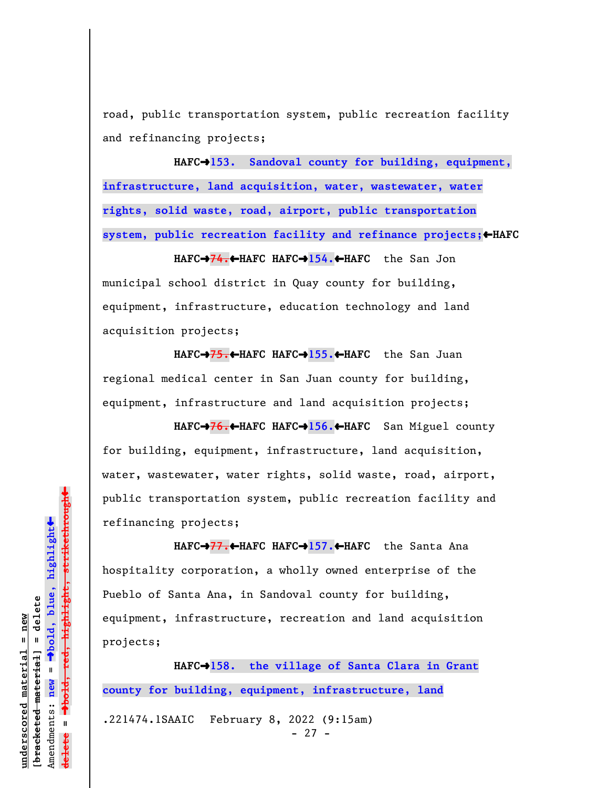road, public transportation system, public recreation facility and refinancing projects;

HAFC<sup>+</sup>153. Sandoval county for building, equipment, **infrastructure, land acquisition, water, wastewater, water rights, solid waste, road, airport, public transportation system, public recreation facility and refinance projects;**»**HAFC**

**HAFC**º**74.**»**HAFC HAFC**º**154.**»**HAFC** the San Jon municipal school district in Quay county for building, equipment, infrastructure, education technology and land acquisition projects;

**HAFC**º**75.**»**HAFC HAFC**º**155.**»**HAFC** the San Juan regional medical center in San Juan county for building, equipment, infrastructure and land acquisition projects;

**HAFC**º**76.**»**HAFC HAFC**º**156.**»**HAFC** San Miguel county for building, equipment, infrastructure, land acquisition, water, wastewater, water rights, solid waste, road, airport, public transportation system, public recreation facility and refinancing projects;

**HAFC**º**77.**»**HAFC HAFC**º**157.**»**HAFC** the Santa Ana hospitality corporation, a wholly owned enterprise of the Pueblo of Santa Ana, in Sandoval county for building, equipment, infrastructure, recreation and land acquisition projects;

**HAFC**º**158. the village of Santa Clara in Grant county for building, equipment, infrastructure, land** .221474.1SAAIC February 8, 2022 (9:15am)

- 27 -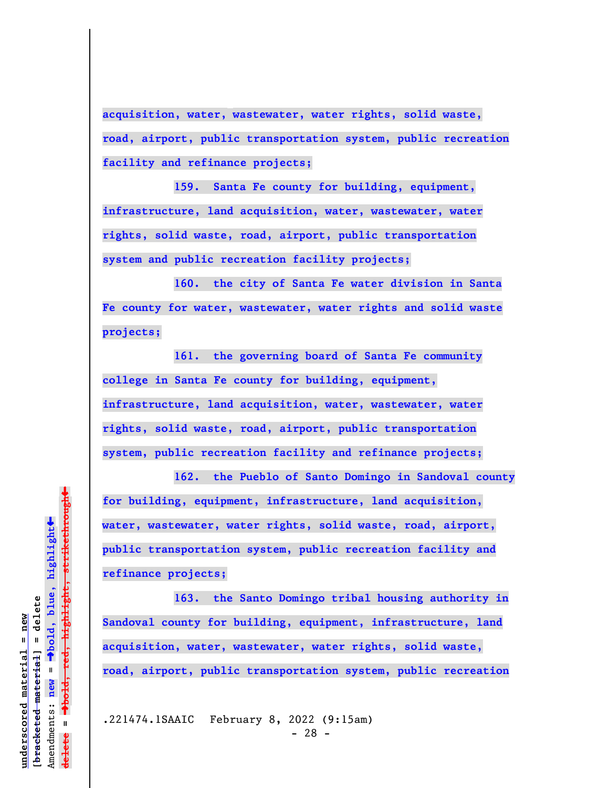**acquisition, water, wastewater, water rights, solid waste, road, airport, public transportation system, public recreation facility and refinance projects;**

**159. Santa Fe county for building, equipment, infrastructure, land acquisition, water, wastewater, water rights, solid waste, road, airport, public transportation system and public recreation facility projects;**

**160. the city of Santa Fe water division in Santa Fe county for water, wastewater, water rights and solid waste projects;**

**161. the governing board of Santa Fe community college in Santa Fe county for building, equipment, infrastructure, land acquisition, water, wastewater, water rights, solid waste, road, airport, public transportation system, public recreation facility and refinance projects;**

**162. the Pueblo of Santo Domingo in Sandoval county for building, equipment, infrastructure, land acquisition, water, wastewater, water rights, solid waste, road, airport, public transportation system, public recreation facility and refinance projects;**

**163. the Santo Domingo tribal housing authority in Sandoval county for building, equipment, infrastructure, land acquisition, water, wastewater, water rights, solid waste, road, airport, public transportation system, public recreation**

.221474.1SAAIC February 8, 2022 (9:15am) - 28 -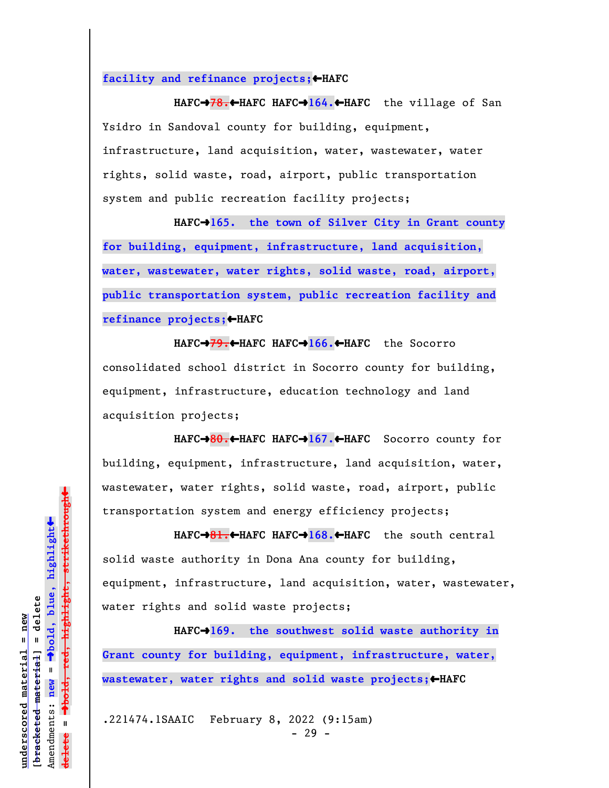**facility and refinance projects;**»**HAFC**

**HAFC**º**78.**»**HAFC HAFC**º**164.**»**HAFC** the village of San Ysidro in Sandoval county for building, equipment, infrastructure, land acquisition, water, wastewater, water rights, solid waste, road, airport, public transportation system and public recreation facility projects;

HAFC<sup>+</sup>165. the town of Silver City in Grant county **for building, equipment, infrastructure, land acquisition, water, wastewater, water rights, solid waste, road, airport, public transportation system, public recreation facility and refinance projects; ←HAFC** 

**HAFC**º**79.**»**HAFC HAFC**º**166.**»**HAFC** the Socorro consolidated school district in Socorro county for building, equipment, infrastructure, education technology and land acquisition projects;

**HAFC**º**80.**»**HAFC HAFC**º**167.**»**HAFC** Socorro county for building, equipment, infrastructure, land acquisition, water, wastewater, water rights, solid waste, road, airport, public transportation system and energy efficiency projects;

**HAFC**º**81.**»**HAFC HAFC**º**168.**»**HAFC** the south central solid waste authority in Dona Ana county for building, equipment, infrastructure, land acquisition, water, wastewater, water rights and solid waste projects;

HAFC<sup>+</sup>169. the southwest solid waste authority in **Grant county for building, equipment, infrastructure, water, wastewater, water rights and solid waste projects;** 

.221474.1SAAIC February 8, 2022 (9:15am) - 29 -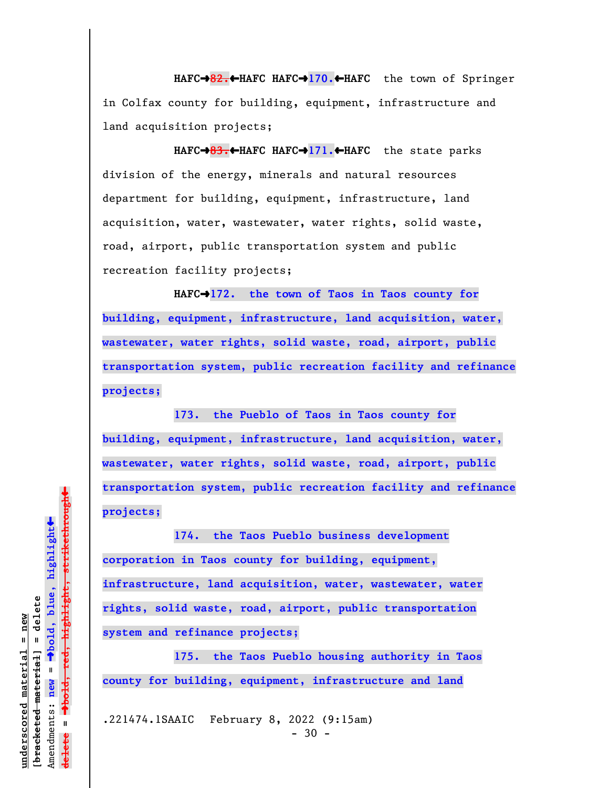**HAFC**º**82.**»**HAFC HAFC**º**170.**»**HAFC** the town of Springer in Colfax county for building, equipment, infrastructure and land acquisition projects;

**HAFC**º**83.**»**HAFC HAFC**º**171.**»**HAFC** the state parks division of the energy, minerals and natural resources department for building, equipment, infrastructure, land acquisition, water, wastewater, water rights, solid waste, road, airport, public transportation system and public recreation facility projects;

**HAFC**º**172. the town of Taos in Taos county for building, equipment, infrastructure, land acquisition, water, wastewater, water rights, solid waste, road, airport, public transportation system, public recreation facility and refinance projects;**

**173. the Pueblo of Taos in Taos county for building, equipment, infrastructure, land acquisition, water, wastewater, water rights, solid waste, road, airport, public transportation system, public recreation facility and refinance projects;**

**174. the Taos Pueblo business development corporation in Taos county for building, equipment, infrastructure, land acquisition, water, wastewater, water rights, solid waste, road, airport, public transportation system and refinance projects;**

**175. the Taos Pueblo housing authority in Taos county for building, equipment, infrastructure and land**

.221474.1SAAIC February 8, 2022 (9:15am)

 $\ddag$ º**bold, red, highlight, strikethrough**  $\ddot{\bullet}$ º**bold, blue, highlight** bracketed material] = delete **[bracketed material] = delete** inderscored material = new **underscored material = new** Amendments: new = Amendments: **new** =  $\mathbf{u}$ **delete =** lelete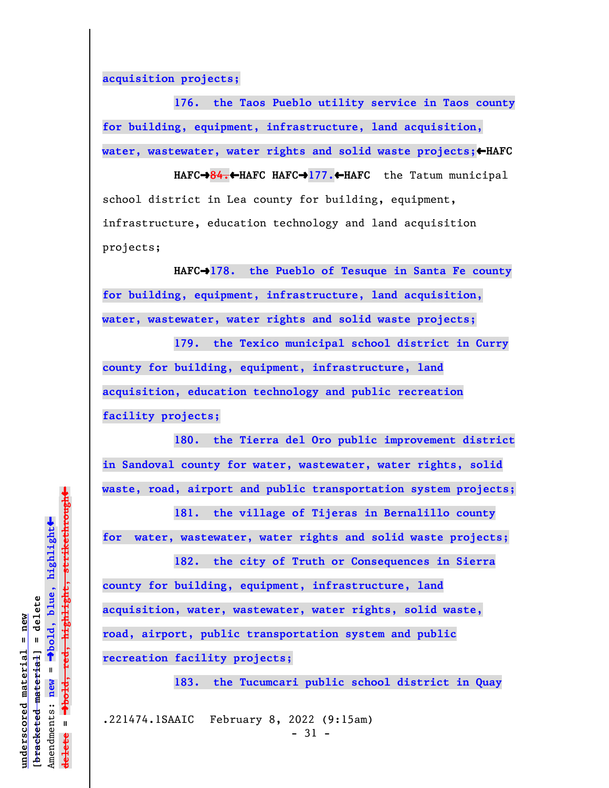**acquisition projects;**

**176. the Taos Pueblo utility service in Taos county for building, equipment, infrastructure, land acquisition,** water, wastewater, water rights and solid waste projects; <**HAFC** 

**HAFC**º**84.**»**HAFC HAFC**º**177.**»**HAFC** the Tatum municipal school district in Lea county for building, equipment, infrastructure, education technology and land acquisition projects;

HAFC<sup>+</sup>178. the Pueblo of Tesuque in Santa Fe county **for building, equipment, infrastructure, land acquisition, water, wastewater, water rights and solid waste projects;**

**179. the Texico municipal school district in Curry county for building, equipment, infrastructure, land acquisition, education technology and public recreation facility projects;**

**180. the Tierra del Oro public improvement district in Sandoval county for water, wastewater, water rights, solid waste, road, airport and public transportation system projects;**

**181. the village of Tijeras in Bernalillo county for water, wastewater, water rights and solid waste projects;**

**182. the city of Truth or Consequences in Sierra county for building, equipment, infrastructure, land acquisition, water, wastewater, water rights, solid waste, road, airport, public transportation system and public recreation facility projects;**

**183. the Tucumcari public school district in Quay**

.221474.1SAAIC February 8, 2022 (9:15am)

- 31 -

 $\ddag$ º**bold, red, highlight, strikethrough**  $\ddot{\bullet}$ º**bold, blue, highlight** bracketed material] = delete **[bracketed material] = delete** inderscored material = new **underscored material = new**  $\mathbf{I}$ Amendments: **new** = Amendments: new  $\mathbf{u}$ **delete =** lelete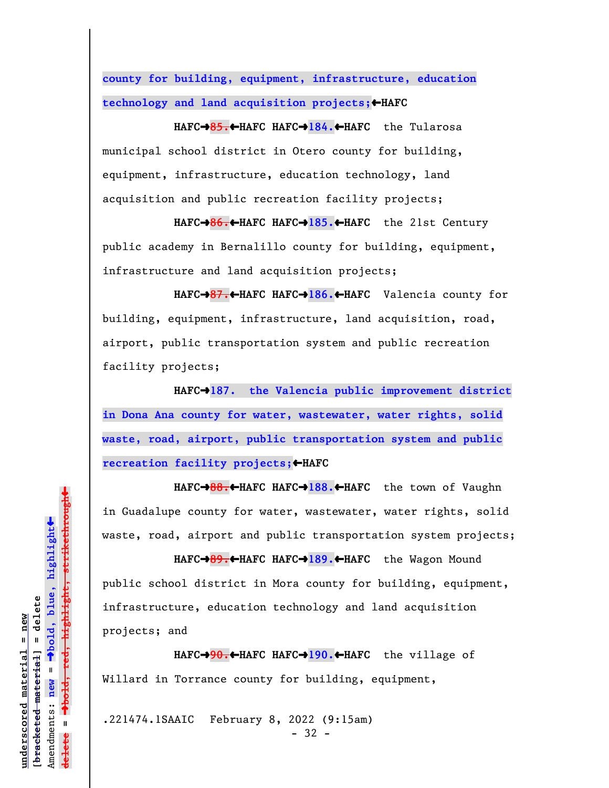**county for building, equipment, infrastructure, education technology and land acquisition projects;**»**HAFC**

**HAFC**º**85.**»**HAFC HAFC**º**184.**»**HAFC** the Tularosa municipal school district in Otero county for building, equipment, infrastructure, education technology, land acquisition and public recreation facility projects;

**HAFC**º**86.**»**HAFC HAFC**º**185.**»**HAFC** the 21st Century public academy in Bernalillo county for building, equipment, infrastructure and land acquisition projects;

**HAFC**º**87.**»**HAFC HAFC**º**186.**»**HAFC** Valencia county for building, equipment, infrastructure, land acquisition, road, airport, public transportation system and public recreation facility projects;

HAFC<sup>+</sup>187. the Valencia public improvement district **in Dona Ana county for water, wastewater, water rights, solid waste, road, airport, public transportation system and public recreation facility projects;**»**HAFC**

**HAFC**º**88.**»**HAFC HAFC**º**188.**»**HAFC** the town of Vaughn in Guadalupe county for water, wastewater, water rights, solid waste, road, airport and public transportation system projects;

**HAFC**º**89.**»**HAFC HAFC**º**189.**»**HAFC** the Wagon Mound public school district in Mora county for building, equipment, infrastructure, education technology and land acquisition projects; and

**HAFC**º**90.**»**HAFC HAFC**º**190.**»**HAFC** the village of Willard in Torrance county for building, equipment,

.221474.1SAAIC February 8, 2022 (9:15am)

- 32 -

 $\ddag$ º**bold, red, highlight, strikethrough**  $\ddot{\bullet}$ º**bold, blue, highlight**  $b$ racketed material] = delete **[bracketed material] = delete** inderscored material = new **underscored material = new** Amendments: new = Amendments: **new** =  $\mathbf{I}$ **delete =** lelete